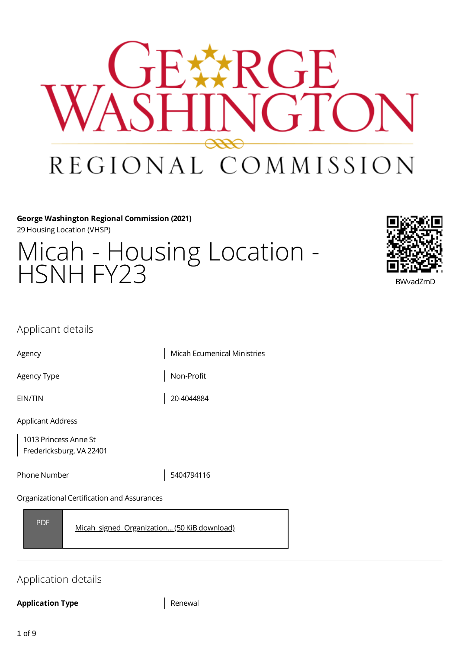

## **George Washington Regional Commission (2021)**

29 Housing Location (VHSP)

# Micah - Housing Location - HSNH FY23 BWvadZmD



## Applicant details

Agency **Micah Ecumenical Ministries** 

Agency Type  $\vert$  Non-Profit

EIN/TIN 20-4044884

Applicant Address

1013 Princess Anne St Fredericksburg, VA 22401

Phone Number 1990 1201 13404794116

Organizational Certification and Assurances

PDF [Micah\\_signed\\_Organization...](https://gwregion.grantplatform.com/r/file/S9FrTyobudSGRtoc) (50 KiB download)

# Application details

## **Application Type** Renewal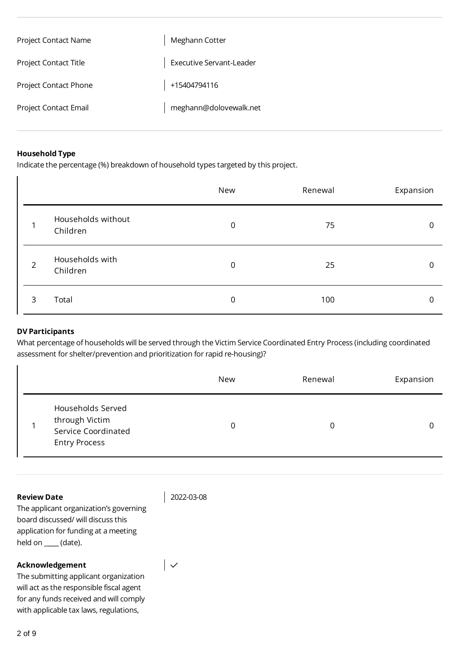| <b>Project Contact Name</b>  | Meghann Cotter           |
|------------------------------|--------------------------|
| <b>Project Contact Title</b> | Executive Servant-Leader |
| <b>Project Contact Phone</b> | +15404794116             |
| Project Contact Email        | meghann@dolovewalk.net   |

#### **Household Type**

Indicate the percentage (%) breakdown of household types targeted by this project.

|                |                                | New | Renewal | Expansion |
|----------------|--------------------------------|-----|---------|-----------|
|                | Households without<br>Children | 0   | 75      | 0         |
| $\overline{2}$ | Households with<br>Children    | 0   | 25      | 0         |
| 3              | Total                          | 0   | 100     | 0         |

## **DV Participants**

What percentage of households will be served through the Victim Service Coordinated Entry Process (including coordinated assessment for shelter/prevention and prioritization for rapid re-housing)?

|                                                                                           | New | Renewal | Expansion |
|-------------------------------------------------------------------------------------------|-----|---------|-----------|
| Households Served<br>through Victim<br><b>Service Coordinated</b><br><b>Entry Process</b> | 0   |         |           |

#### **Review Date**

2022-03-08

 $\vert \downarrow$ 

The applicant organization's governing board discussed/ will discuss this application for funding at a meeting held on \_**\_\_\_\_** (date).

#### **Acknowledgement**

The submitting applicant organization will act as the responsible fiscal agent for any funds received and will comply with applicable tax laws, regulations,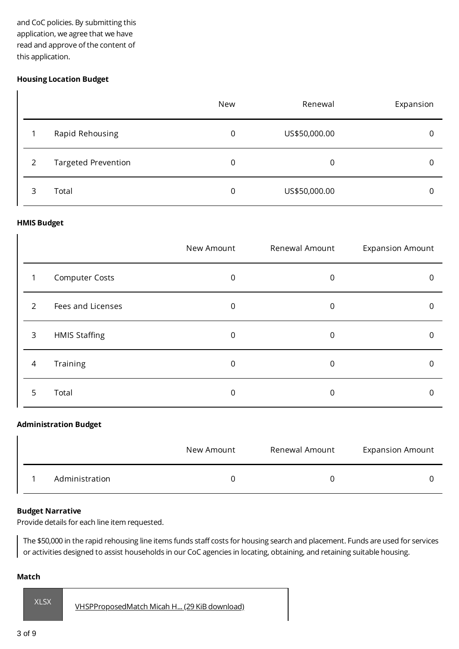and CoC policies. By submitting this application, we agree that we have read and approve of the content of this application.

## **Housing Location Budget**

 $\overline{1}$ 

|               |                            | New | Renewal       | Expansion |
|---------------|----------------------------|-----|---------------|-----------|
|               | Rapid Rehousing            | 0   | US\$50,000.00 |           |
| $\mathcal{P}$ | <b>Targeted Prevention</b> | 0   | 0             |           |
| 3             | Total                      | 0   | US\$50,000.00 |           |

#### **HMIS Budget**

 $\overline{1}$ 

|   |                       | New Amount | Renewal Amount | <b>Expansion Amount</b> |
|---|-----------------------|------------|----------------|-------------------------|
|   | <b>Computer Costs</b> | 0          | 0              |                         |
| 2 | Fees and Licenses     | 0          | 0              |                         |
| 3 | <b>HMIS Staffing</b>  | 0          | 0              |                         |
| 4 | Training              | 0          | 0              |                         |
| 5 | Total                 | 0          |                |                         |

#### **Administration Budget**

|                | New Amount | Renewal Amount | <b>Expansion Amount</b> |
|----------------|------------|----------------|-------------------------|
| Administration |            |                |                         |

#### **Budget Narrative**

Provide details for each line item requested.

The \$50,000 in the rapid rehousing line items funds staff costs for housing search and placement. Funds are used for services or activities designed to assist households in our CoC agencies in locating, obtaining, and retaining suitable housing.

#### **Match**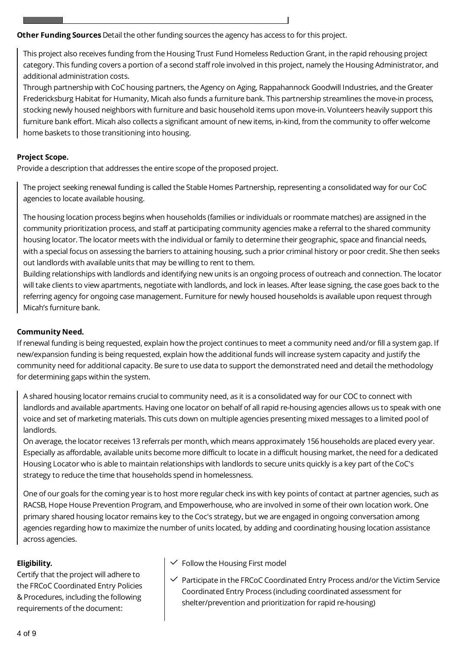**Other Funding Sources** Detail the other funding sources the agency has access to for this project.

This project also receives funding from the Housing Trust Fund Homeless Reduction Grant, in the rapid rehousing project category. This funding covers a portion of a second staff role involved in this project, namely the Housing Administrator, and additional administration costs.

Through partnership with CoC housing partners, the Agency on Aging, Rappahannock Goodwill Industries, and the Greater Fredericksburg Habitat for Humanity, Micah also funds a furniture bank. This partnership streamlines the move-in process, stocking newly housed neighbors with furniture and basic household items upon move-in. Volunteers heavily support this furniture bank effort. Micah also collects a significant amount of new items, in-kind, from the community to offer welcome home baskets to those transitioning into housing.

## **Project Scope.**

Provide a description that addresses the entire scope of the proposed project.

The project seeking renewal funding is called the Stable Homes Partnership, representing a consolidated way for our CoC agencies to locate available housing.

The housing location process begins when households (families or individuals or roommate matches) are assigned in the community prioritization process, and staff at participating community agencies make a referral to the shared community housing locator. The locator meets with the individual or family to determine their geographic, space and financial needs, with a special focus on assessing the barriers to attaining housing, such a prior criminal history or poor credit. She then seeks out landlords with available units that may be willing to rent to them.

Building relationships with landlords and identifying new units is an ongoing process of outreach and connection. The locator will take clients to view apartments, negotiate with landlords, and lock in leases. After lease signing, the case goes back to the referring agency for ongoing case management. Furniture for newly housed households is available upon request through Micah's furniture bank.

## **Community Need.**

If renewal funding is being requested, explain how the project continues to meet a community need and/or fill a system gap. If new/expansion funding is being requested, explain how the additional funds will increase system capacity and justify the community need for additional capacity. Be sure to use data to support the demonstrated need and detail the methodology for determining gaps within the system.

A shared housing locator remains crucial to community need, as it is a consolidated way for our COC to connect with landlords and available apartments. Having one locator on behalf of all rapid re-housing agencies allows us to speak with one voice and set of marketing materials. This cuts down on multiple agencies presenting mixed messages to a limited pool of landlords.

On average, the locator receives 13 referrals per month, which means approximately 156 households are placed every year. Especially as affordable, available units become more difficult to locate in a difficult housing market, the need for a dedicated Housing Locator who is able to maintain relationships with landlords to secure units quickly is a key part of the CoC's strategy to reduce the time that households spend in homelessness.

One of our goals for the coming year is to host more regular check ins with key points of contact at partner agencies, such as RACSB, Hope House Prevention Program, and Empowerhouse, who are involved in some of their own location work. One primary shared housing locator remains key to the Coc's strategy, but we are engaged in ongoing conversation among agencies regarding how to maximize the number of units located, by adding and coordinating housing location assistance across agencies.

## **Eligibility.**

Certify that the project will adhere to the FRCoC Coordinated Entry Policies & Procedures, including the following requirements of the document:

## $\checkmark$  Follow the Housing First model

 $\checkmark$  Participate in the FRCoC Coordinated Entry Process and/or the Victim Service Coordinated Entry Process (including coordinated assessment for shelter/prevention and prioritization for rapid re-housing)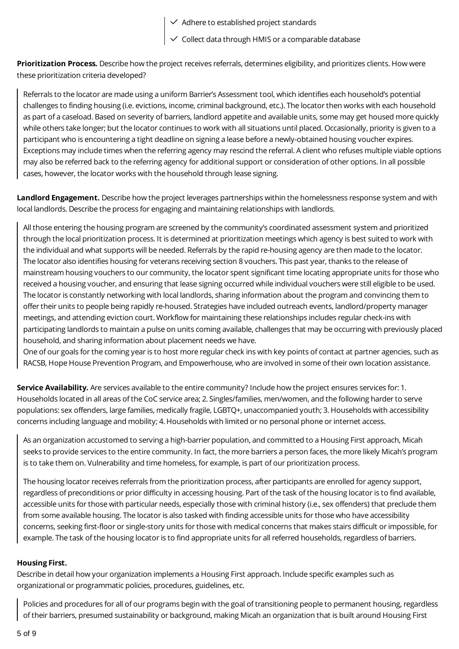- $\checkmark$  Adhere to established project standards
- $\checkmark$  Collect data through HMIS or a comparable database

**Prioritization Process.** Describe how the project receives referrals, determines eligibility, and prioritizes clients. How were these prioritization criteria developed?

Referrals to the locator are made using a uniform Barrier's Assessment tool, which identifies each household's potential challenges to finding housing (i.e. evictions, income, criminal background, etc.). The locator then works with each household as part of a caseload. Based on severity of barriers, landlord appetite and available units, some may get housed more quickly while others take longer; but the locator continues to work with all situations until placed. Occasionally, priority is given to a participant who is encountering a tight deadline on signing a lease before a newly-obtained housing voucher expires. Exceptions may include times when the referring agency may rescind the referral. A client who refuses multiple viable options may also be referred back to the referring agency for additional support or consideration of other options. In all possible cases, however, the locator works with the household through lease signing.

**Landlord Engagement.** Describe how the project leverages partnerships within the homelessness response system and with local landlords. Describe the process for engaging and maintaining relationships with landlords.

All those entering the housing program are screened by the community's coordinated assessment system and prioritized through the local prioritization process. It is determined at prioritization meetings which agency is best suited to work with the individual and what supports will be needed. Referrals by the rapid re-housing agency are then made to the locator. The locator also identifies housing for veterans receiving section 8 vouchers. This past year, thanks to the release of mainstream housing vouchers to our community, the locator spent significant time locating appropriate units for those who received a housing voucher, and ensuring that lease signing occurred while individual vouchers were still eligible to be used. The locator is constantly networking with local landlords, sharing information about the program and convincing them to offer their units to people being rapidly re-housed. Strategies have included outreach events, landlord/property manager meetings, and attending eviction court. Workflow for maintaining these relationships includes regular check-ins with participating landlords to maintain a pulse on units coming available, challenges that may be occurring with previously placed household, and sharing information about placement needs we have.

One of our goals for the coming year is to host more regular check ins with key points of contact at partner agencies, such as RACSB, Hope House Prevention Program, and Empowerhouse, who are involved in some of their own location assistance.

**Service Availability.** Are services available to the entire community? Include how the project ensures services for: 1. Households located in all areas of the CoC service area; 2. Singles/families, men/women, and the following harder to serve populations: sex offenders, large families, medically fragile, LGBTQ+, unaccompanied youth; 3. Households with accessibility concerns including language and mobility; 4. Households with limited or no personal phone or internet access.

As an organization accustomed to serving a high-barrier population, and committed to a Housing First approach, Micah seeks to provide services to the entire community. In fact, the more barriers a person faces, the more likely Micah's program is to take them on. Vulnerability and time homeless, for example, is part of our prioritization process.

The housing locator receives referrals from the prioritization process, after participants are enrolled for agency support, regardless of preconditions or prior difficulty in accessing housing. Part of the task of the housing locator is to find available, accessible units for those with particular needs, especially those with criminal history (i.e., sex offenders) that preclude them from some available housing. The locator is also tasked with finding accessible units for those who have accessibility concerns, seeking first-floor or single-story units for those with medical concerns that makes stairs difficult or impossible, for example. The task of the housing locator is to find appropriate units for all referred households, regardless of barriers.

## **Housing First.**

Describe in detail how your organization implements a Housing First approach. Include specific examples such as organizational or programmatic policies, procedures, guidelines, etc.

Policies and procedures for all of our programs begin with the goal of transitioning people to permanent housing, regardless of their barriers, presumed sustainability or background, making Micah an organization that is built around Housing First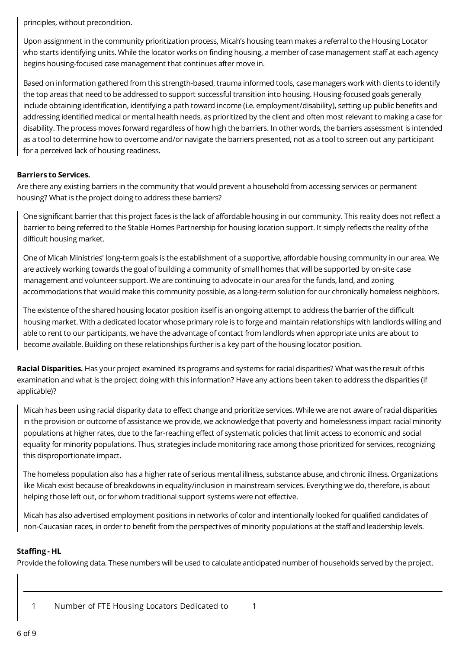principles, without precondition.

Upon assignment in the community prioritization process, Micah's housing team makes a referral to the Housing Locator who starts identifying units. While the locator works on finding housing, a member of case management staff at each agency begins housing-focused case management that continues after move in.

Based on information gathered from this strength-based, trauma informed tools, case managers work with clients to identify the top areas that need to be addressed to support successful transition into housing. Housing-focused goals generally include obtaining identification, identifying a path toward income (i.e. employment/disability), setting up public benefits and addressing identified medical or mental health needs, as prioritized by the client and often most relevant to making a case for disability. The process moves forward regardless of how high the barriers. In other words, the barriers assessment is intended as a tool to determine how to overcome and/or navigate the barriers presented, not as a tool to screen out any participant for a perceived lack of housing readiness.

## **Barriers to Services.**

Are there any existing barriers in the community that would prevent a household from accessing services or permanent housing? What is the project doing to address these barriers?

One significant barrier that this project faces is the lack of affordable housing in our community. This reality does not reflect a barrier to being referred to the Stable Homes Partnership for housing location support. It simply reflects the reality of the difficult housing market.

One of Micah Ministries' long-term goals is the establishment of a supportive, affordable housing community in our area. We are actively working towards the goal of building a community of small homes that will be supported by on-site case management and volunteer support. We are continuing to advocate in our area for the funds, land, and zoning accommodations that would make this community possible, as a long-term solution for our chronically homeless neighbors.

The existence of the shared housing locator position itself is an ongoing attempt to address the barrier of the difficult housing market. With a dedicated locator whose primary role is to forge and maintain relationships with landlords willing and able to rent to our participants, we have the advantage of contact from landlords when appropriate units are about to become available. Building on these relationships further is a key part of the housing locator position.

**Racial Disparities.** Has your project examined its programs and systems for racial disparities? What was the result of this examination and what is the project doing with this information? Have any actions been taken to address the disparities (if applicable)?

Micah has been using racial disparity data to effect change and prioritize services. While we are not aware of racial disparities in the provision or outcome of assistance we provide, we acknowledge that poverty and homelessness impact racial minority populations at higher rates, due to the far-reaching effect of systematic policies that limit access to economic and social equality for minority populations. Thus, strategies include monitoring race among those prioritized for services, recognizing this disproportionate impact.

The homeless population also has a higher rate of serious mental illness, substance abuse, and chronic illness. Organizations like Micah exist because of breakdowns in equality/inclusion in mainstream services. Everything we do, therefore, is about helping those left out, or for whom traditional support systems were not effective.

Micah has also advertised employment positions in networks of color and intentionally looked for qualified candidates of non-Caucasian races, in order to benefit from the perspectives of minority populations at the staff and leadership levels.

## **Staffing - HL**

Provide the following data. These numbers will be used to calculate anticipated number of households served by the project.

1 Number of FTE Housing Locators Dedicated to 1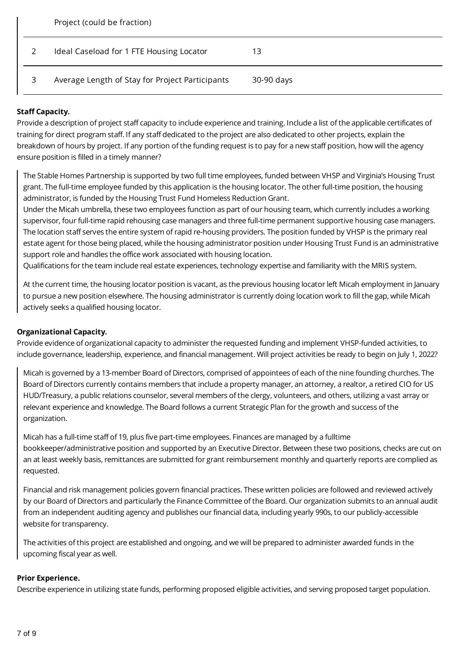| Project (could be fraction)                     |            |
|-------------------------------------------------|------------|
| Ideal Caseload for 1 FTE Housing Locator        | 13         |
| Average Length of Stay for Project Participants | 30-90 days |

## **Staff Capacity.**

Provide a description of project staff capacity to include experience and training. Include a list of the applicable certificates of training for direct program staff. If any staff dedicated to the project are also dedicated to other projects, explain the breakdown of hours by project. If any portion of the funding request is to pay for a new staff position, how will the agency ensure position is filled in a timely manner?

The Stable Homes Partnership is supported by two full time employees, funded between VHSP and Virginia's Housing Trust grant. The full-time employee funded by this application is the housing locator. The other full-time position, the housing administrator, is funded by the Housing Trust Fund Homeless Reduction Grant.

Under the Micah umbrella, these two employees function as part of our housing team, which currently includes a working supervisor, four full-time rapid rehousing case managers and three full-time permanent supportive housing case managers. The location staff serves the entire system of rapid re-housing providers. The position funded by VHSP is the primary real estate agent for those being placed, while the housing administrator position under Housing Trust Fund is an administrative support role and handles the office work associated with housing location.

Qualifications for the team include real estate experiences, technology expertise and familiarity with the MRIS system.

At the current time, the housing locator position is vacant, as the previous housing locator left Micah employment in January to pursue a new position elsewhere. The housing administrator is currently doing location work to fill the gap, while Micah actively seeks a qualified housing locator.

## **Organizational Capacity.**

Provide evidence of organizational capacity to administer the requested funding and implement VHSP-funded activities, to include governance, leadership, experience, and financial management. Will project activities be ready to begin on July 1, 2022?

Micah is governed by a 13-member Board of Directors, comprised of appointees of each of the nine founding churches. The Board of Directors currently contains members that include a property manager, an attorney, a realtor, a retired CIO for US HUD/Treasury, a public relations counselor, several members of the clergy, volunteers, and others, utilizing a vast array or relevant experience and knowledge. The Board follows a current Strategic Plan for the growth and success of the organization.

Micah has a full-time staff of 19, plus five part-time employees. Finances are managed by a fulltime bookkeeper/administrative position and supported by an Executive Director. Between these two positions, checks are cut on an at least weekly basis, remittances are submitted for grant reimbursement monthly and quarterly reports are complied as requested.

Financial and risk management policies govern financial practices. These written policies are followed and reviewed actively by our Board of Directors and particularly the Finance Committee of the Board. Our organization submits to an annual audit from an independent auditing agency and publishes our financial data, including yearly 990s, to our publicly-accessible website for transparency.

The activities of this project are established and ongoing, and we will be prepared to administer awarded funds in the upcoming fiscal year as well.

## **Prior Experience.**

Describe experience in utilizing state funds, performing proposed eligible activities, and serving proposed target population.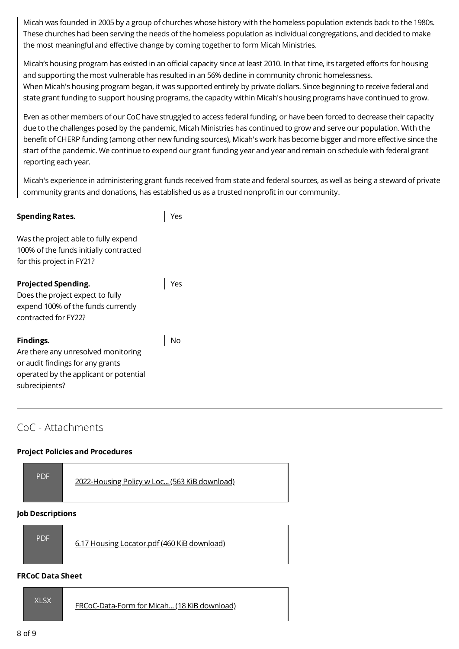Micah was founded in 2005 by a group of churches whose history with the homeless population extends back to the 1980s. These churches had been serving the needs of the homeless population as individual congregations, and decided to make the most meaningful and effective change by coming together to form Micah Ministries.

Micah's housing program has existed in an official capacity since at least 2010. In that time, its targeted efforts for housing and supporting the most vulnerable has resulted in an 56% decline in community chronic homelessness. When Micah's housing program began, it was supported entirely by private dollars. Since beginning to receive federal and state grant funding to support housing programs, the capacity within Micah's housing programs have continued to grow.

Even as other members of our CoC have struggled to access federal funding, or have been forced to decrease their capacity due to the challenges posed by the pandemic, Micah Ministries has continued to grow and serve our population. With the benefit of CHERP funding (among other new funding sources), Micah's work has become bigger and more effective since the start of the pandemic. We continue to expend our grant funding year and year and remain on schedule with federal grant reporting each year.

Micah's experience in administering grant funds received from state and federal sources, as well as being a steward of private community grants and donations, has established us as a trusted nonprofit in our community.

| <b>Spending Rates.</b>                                                                                                       |  |
|------------------------------------------------------------------------------------------------------------------------------|--|
| Was the project able to fully expend<br>100% of the funds initially contracted<br>for this project in FY21?                  |  |
| <b>Projected Spending.</b><br>Does the project expect to fully<br>expend 100% of the funds currently<br>contracted for FY22? |  |
| Findings.<br>$\lambda$ ro thoro any unrocal uad monitoring                                                                   |  |

Are there any unresolved monitoring or audit findings for any grants operated by the applicant or potential subrecipients?

# CoC - Attachments

## **Project Policies and Procedures**

| <b>PDF</b> | 2022-Housing Policy w Loc (563 KiB download) |
|------------|----------------------------------------------|
|            |                                              |

## **Job Descriptions**

| <b>PDF</b><br>6.17 Housing Locator.pdf (460 KiB download) |
|-----------------------------------------------------------|
|-----------------------------------------------------------|

#### **FRCoC Data Sheet**

| IXI SX' | FRCoC-Data-Form for Micah (18 KiB download) |
|---------|---------------------------------------------|
|---------|---------------------------------------------|